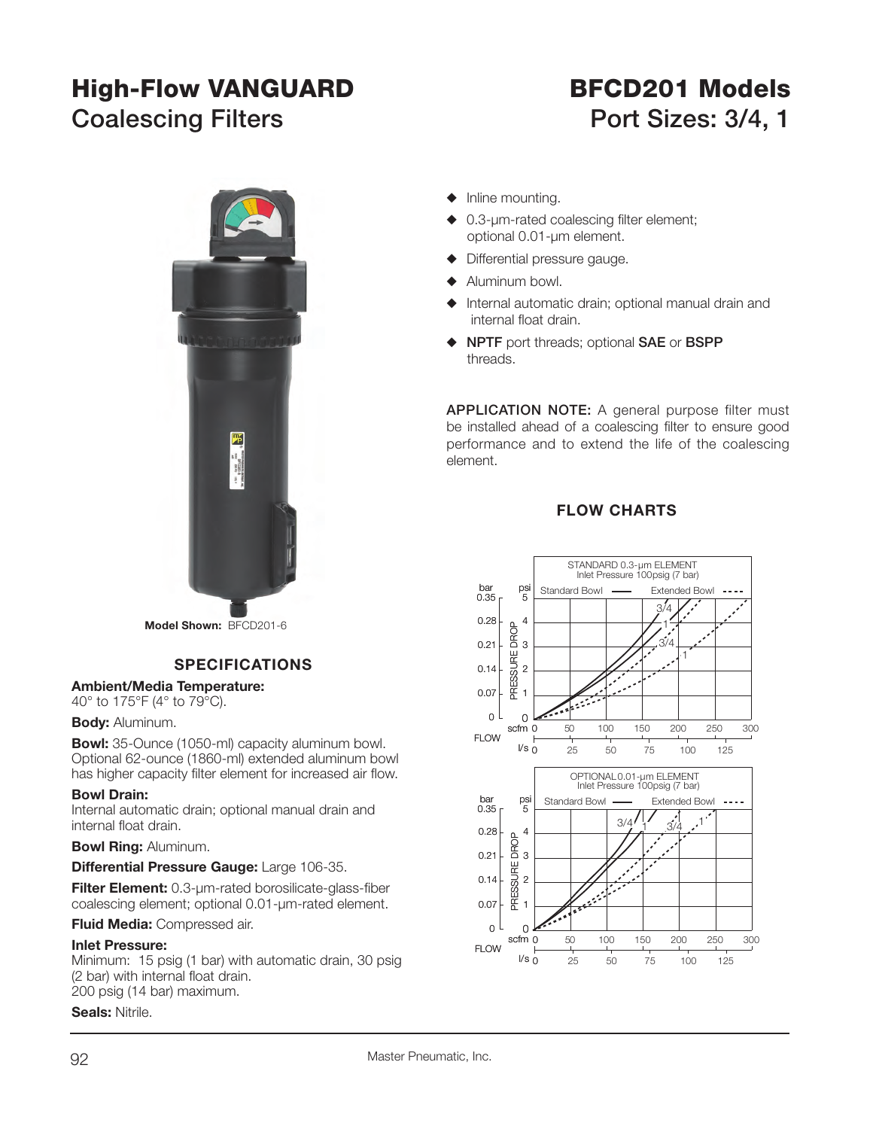# **High-Flow VANGUARD BFCD201 Models**

# **Coalescing Filters Coalescing Filters** Port Sizes: 3/4, 1



**Model Shown:** BFCD201-6

#### **SPECIFICATIONS**

#### **Ambient/Media Temperature:**

40° to 175°F (4° to 79°C).

#### **Body:** Aluminum.

**Bowl:** 35-Ounce (1050-ml) capacity aluminum bowl. Optional 62-ounce (1860-ml) extended aluminum bowl has higher capacity filter element for increased air flow.

#### **Bowl Drain:**

Internal automatic drain; optional manual drain and internal float drain.

#### **Bowl Ring:** Aluminum.

#### **Differential Pressure Gauge:** Large 106-35.

**Filter Element:** 0.3-um-rated borosilicate-glass-fiber coalescing element; optional 0.01-µm-rated element.

#### **Fluid Media:** Compressed air.

#### **Inlet Pressure:**

Minimum: 15 psig (1 bar) with automatic drain, 30 psig (2 bar) with internal float drain. 200 psig (14 bar) maximum.

#### **Seals:** Nitrile.

- $\blacklozenge$  Inline mounting.
- $\triangle$  0.3-µm-rated coalescing filter element; optional 0.01-µm element.
- Differential pressure gauge.
- $\blacklozenge$  Aluminum bowl.
- Internal automatic drain; optional manual drain and internal float drain.
- S **NPTF** port threads; optional **SAE** or **BSPP** threads.

**APPLICATION NOTE:** A general purpose filter must be installed ahead of a coalescing filter to ensure good performance and to extend the life of the coalescing element.

#### **FLOW CHARTS**

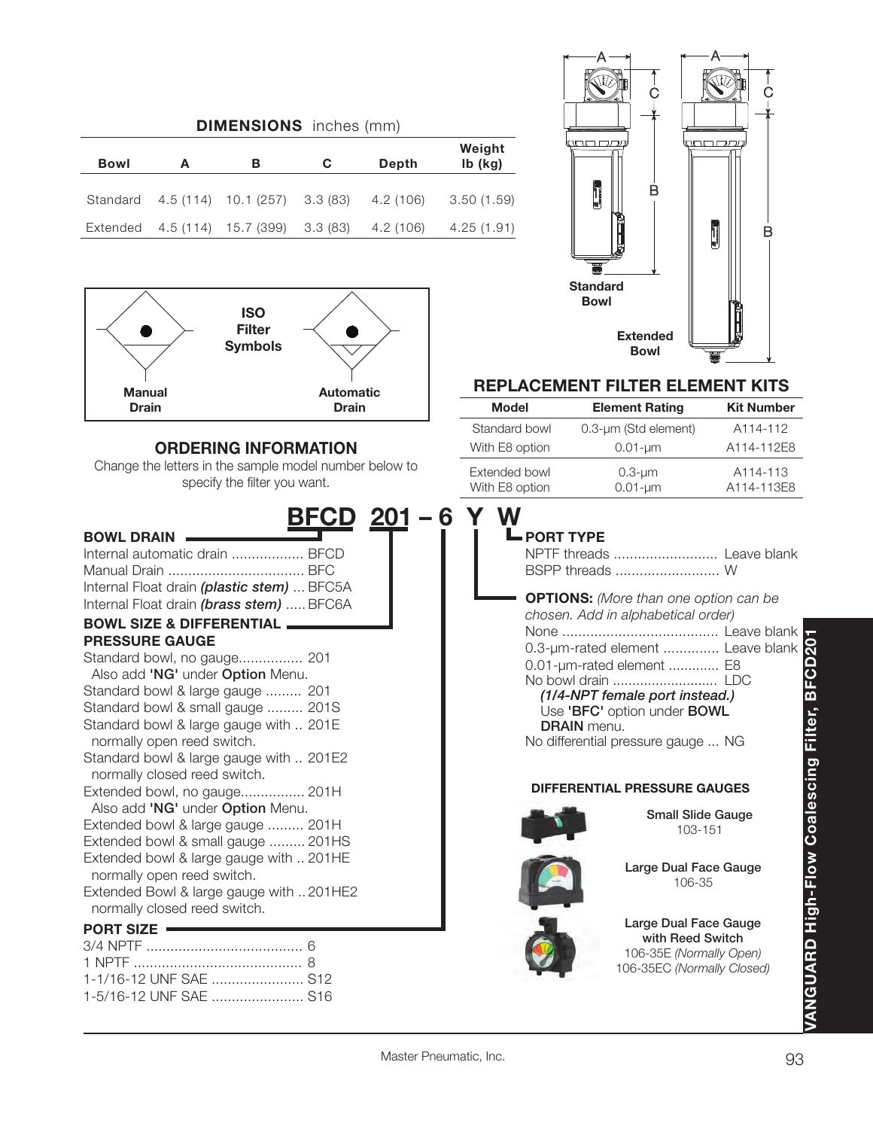| <b>DIMENSIONS</b> inches (mm) |   |                               |          |           |                     |  |
|-------------------------------|---|-------------------------------|----------|-----------|---------------------|--|
| Bowl                          | A | в                             | C        | Depth     | Weight<br>$Ib$ (kg) |  |
| Standard                      |   | 4.5 (114) 10.1 (257) 3.3 (83) |          | 4.2 (106) | 3.50(1.59)          |  |
| Extended                      |   | 4.5 (114) 15.7 (399)          | 3.3 (83) | 4.2 (106) | 4.25 (1.91)         |  |



### **ORDERING INFORMATION**

Change the letters in the sample model number below to specify the filter you want.

1-5/16-12 UNF SAE ....................... S16

| <u>BFCD 201 – 6 Y W</u>                                               |                             |
|-----------------------------------------------------------------------|-----------------------------|
| <b>BOWL DRAIN</b>                                                     | <b>L</b> PORT TY            |
| Internal automatic drain  BFCD                                        | NPTF thre                   |
|                                                                       | <b>BSPP</b> thre            |
| Internal Float drain (plastic stem)  BFC5A                            |                             |
| Internal Float drain (brass stem)  BFC6A                              | <b>OPTIONS</b><br>chosen. A |
| <b>BOWL SIZE &amp; DIFFERENTIAL</b>                                   | None                        |
| <b>PRESSURE GAUGE</b>                                                 | $0.3$ -µm-ra                |
| Standard bowl, no gauge 201                                           | $0.01 - \mu m - r$          |
| Also add 'NG' under Option Menu.                                      | No bowl d                   |
| Standard bowl & large gauge  201                                      | (1/4-NF                     |
| Standard bowl & small gauge  201S                                     | Use 'BF                     |
| Standard bowl & large gauge with  201E                                | <b>DRAIN</b>                |
| normally open reed switch.                                            | No differer                 |
| Standard bowl & large gauge with  201E2                               |                             |
| normally closed reed switch.                                          | <b>DIFFERE</b>              |
| Extended bowl, no gauge 201H                                          |                             |
| Also add 'NG' under Option Menu.                                      |                             |
| Extended bowl & large gauge  201H                                     |                             |
| Extended bowl & small gauge  201HS                                    |                             |
| Extended bowl & large gauge with  201HE                               |                             |
| normally open reed switch.<br>Extended Bowl & large gauge with 201HE2 |                             |
| normally closed reed switch.                                          |                             |
|                                                                       |                             |
| <b>PORT SIZE</b>                                                      |                             |
|                                                                       |                             |
| 1-1/16-12 UNF SAE  S12                                                |                             |



#### **REPLACEMENT FILTER ELEMENT KITS**

| <b>Model</b>                    | <b>Element Rating</b>           | <b>Kit Number</b>                   |
|---------------------------------|---------------------------------|-------------------------------------|
| Standard bowl                   | 0.3-um (Std element)            | A114-112                            |
| With E8 option                  | $0.01 - \mu m$                  | A114-112E8                          |
| Extended bowl<br>With E8 option | $0.3 - \mu m$<br>$0.01 - \mu m$ | A <sub>114</sub> -113<br>A114-113E8 |

### **PORT TYPE**

| NPTF threads  Leave blank                                                                                                                                                                                                                                                                              |  |
|--------------------------------------------------------------------------------------------------------------------------------------------------------------------------------------------------------------------------------------------------------------------------------------------------------|--|
| <b>OPTIONS:</b> (More than one option can be<br>chosen. Add in alphabetical order)<br>0.3-um-rated element  Leave blank<br>0.01-um-rated element  E8<br>No bowl drain  LDC<br>(1/4-NPT female port instead.)<br>Use 'BFC' option under BOWL<br><b>DRAIN</b> menu<br>No differential pressure gauge  NG |  |

#### **NTIAL PRESSURE GAUGES**



**Small Slide Gauge** 103-151



**Large Dual Face Gauge** 106-35

**Large Dual Face Gauge with Reed Switch** 106-35E *(Normally Open)* 106-35EC *(Normally Closed)*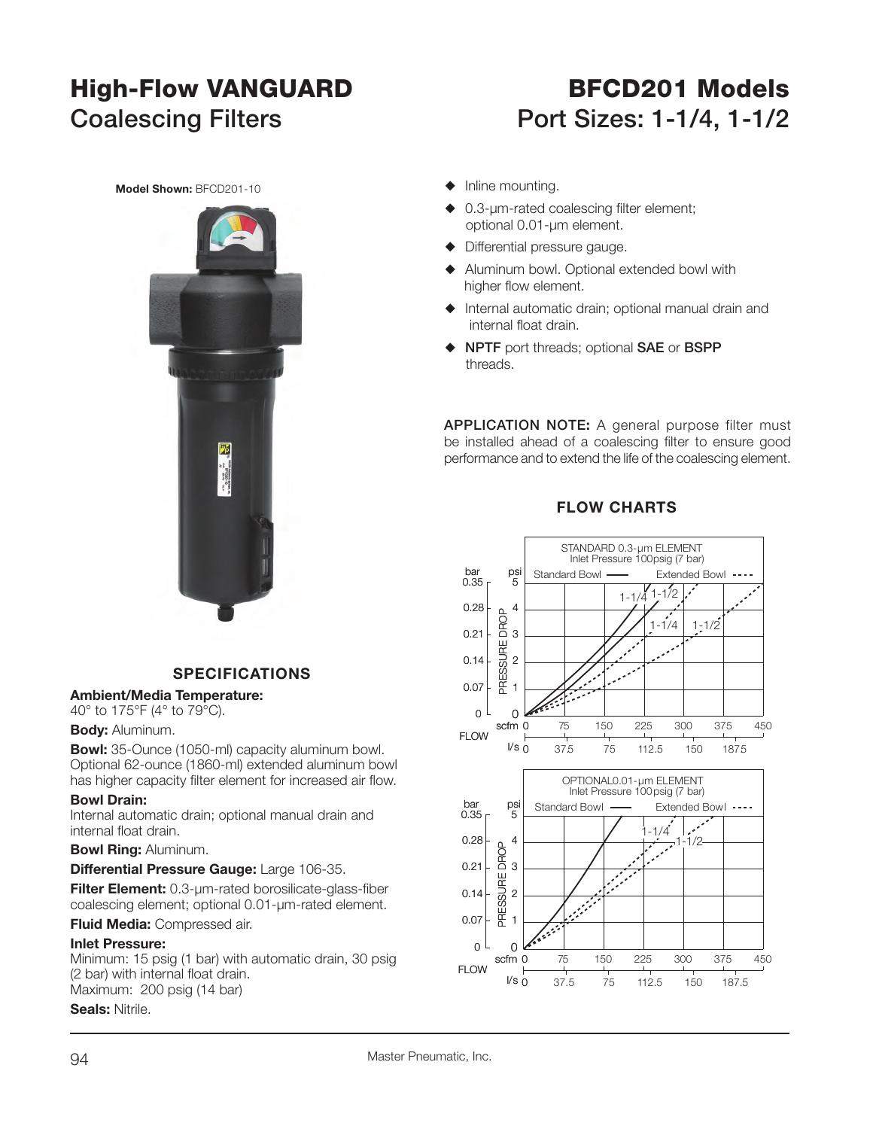## **High-Flow VANGUARD BFCD201 Models** Coalescing Filters **Port Sizes: 1-1/4, 1-1/2**

**Model Shown:** BFCD201-10



#### **SPECIFICATIONS**

#### **Ambient/Media Temperature:**

40° to 175°F (4° to 79°C).

#### **Body:** Aluminum.

**Bowl:** 35-Ounce (1050-ml) capacity aluminum bowl. Optional 62-ounce (1860-ml) extended aluminum bowl has higher capacity filter element for increased air flow.

#### **Bowl Drain:**

Internal automatic drain; optional manual drain and internal float drain.

#### **Bowl Ring:** Aluminum.

#### **Differential Pressure Gauge:** Large 106-35.

**Filter Element:** 0.3-um-rated borosilicate-glass-fiber coalescing element; optional 0.01-µm-rated element.

#### **Fluid Media:** Compressed air.

#### **Inlet Pressure:**

Minimum: 15 psig (1 bar) with automatic drain, 30 psig (2 bar) with internal float drain. Maximum: 200 psig (14 bar)

#### **Seals:** Nitrile.



- $\triangle$  0.3-µm-rated coalescing filter element; optional 0.01-µm element.
- $\blacklozenge$  Differential pressure gauge.
- $\blacklozenge$  Aluminum bowl. Optional extended bowl with higher flow element.
- $\blacklozenge$  Internal automatic drain; optional manual drain and internal float drain.
- S **NPTF** port threads; optional **SAE** or **BSPP**  threads.

**APPLICATION NOTE:** A general purpose filter must be installed ahead of a coalescing filter to ensure good performance and to extend the life of the coalescing element.

#### **FLOW CHARTS**